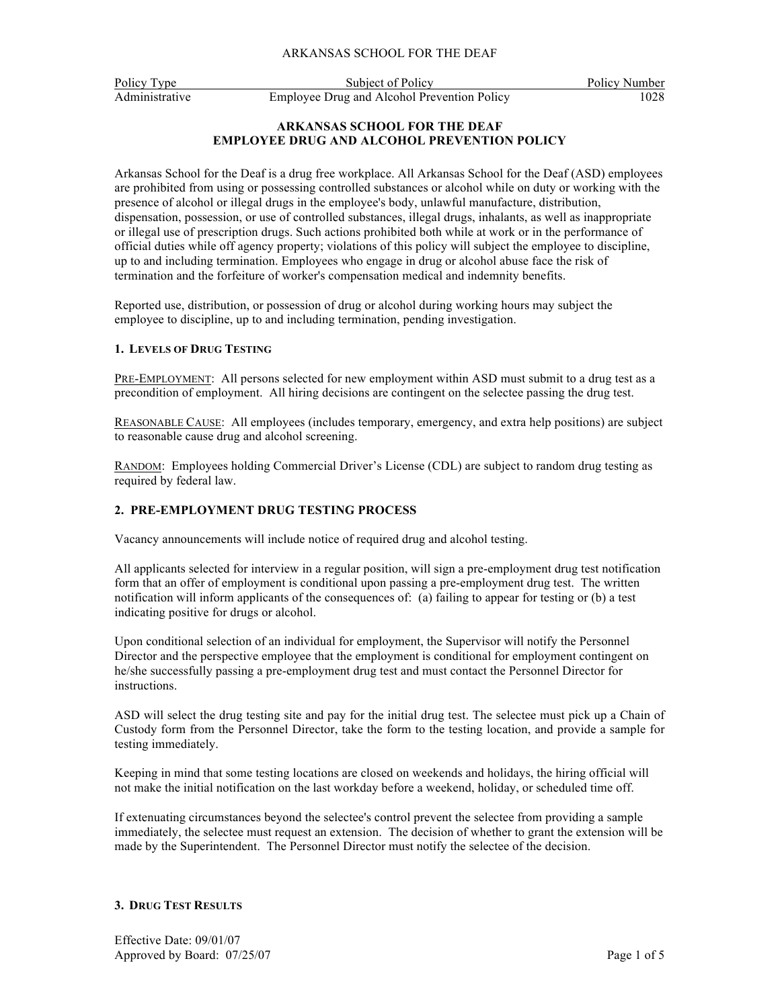Policy Type Subject of Policy Policy Policy Number Administrative Employee Drug and Alcohol Prevention Policy 1028

# **ARKANSAS SCHOOL FOR THE DEAF EMPLOYEE DRUG AND ALCOHOL PREVENTION POLICY**

Arkansas School for the Deaf is a drug free workplace. All Arkansas School for the Deaf (ASD) employees are prohibited from using or possessing controlled substances or alcohol while on duty or working with the presence of alcohol or illegal drugs in the employee's body, unlawful manufacture, distribution, dispensation, possession, or use of controlled substances, illegal drugs, inhalants, as well as inappropriate or illegal use of prescription drugs. Such actions prohibited both while at work or in the performance of official duties while off agency property; violations of this policy will subject the employee to discipline, up to and including termination. Employees who engage in drug or alcohol abuse face the risk of termination and the forfeiture of worker's compensation medical and indemnity benefits.

Reported use, distribution, or possession of drug or alcohol during working hours may subject the employee to discipline, up to and including termination, pending investigation.

## **1. LEVELS OF DRUG TESTING**

PRE-EMPLOYMENT: All persons selected for new employment within ASD must submit to a drug test as a precondition of employment. All hiring decisions are contingent on the selectee passing the drug test.

REASONABLE CAUSE: All employees (includes temporary, emergency, and extra help positions) are subject to reasonable cause drug and alcohol screening.

RANDOM: Employees holding Commercial Driver's License (CDL) are subject to random drug testing as required by federal law.

# **2. PRE-EMPLOYMENT DRUG TESTING PROCESS**

Vacancy announcements will include notice of required drug and alcohol testing.

All applicants selected for interview in a regular position, will sign a pre-employment drug test notification form that an offer of employment is conditional upon passing a pre-employment drug test. The written notification will inform applicants of the consequences of: (a) failing to appear for testing or (b) a test indicating positive for drugs or alcohol.

Upon conditional selection of an individual for employment, the Supervisor will notify the Personnel Director and the perspective employee that the employment is conditional for employment contingent on he/she successfully passing a pre-employment drug test and must contact the Personnel Director for instructions.

ASD will select the drug testing site and pay for the initial drug test. The selectee must pick up a Chain of Custody form from the Personnel Director, take the form to the testing location, and provide a sample for testing immediately.

Keeping in mind that some testing locations are closed on weekends and holidays, the hiring official will not make the initial notification on the last workday before a weekend, holiday, or scheduled time off.

If extenuating circumstances beyond the selectee's control prevent the selectee from providing a sample immediately, the selectee must request an extension. The decision of whether to grant the extension will be made by the Superintendent. The Personnel Director must notify the selectee of the decision.

#### **3. DRUG TEST RESULTS**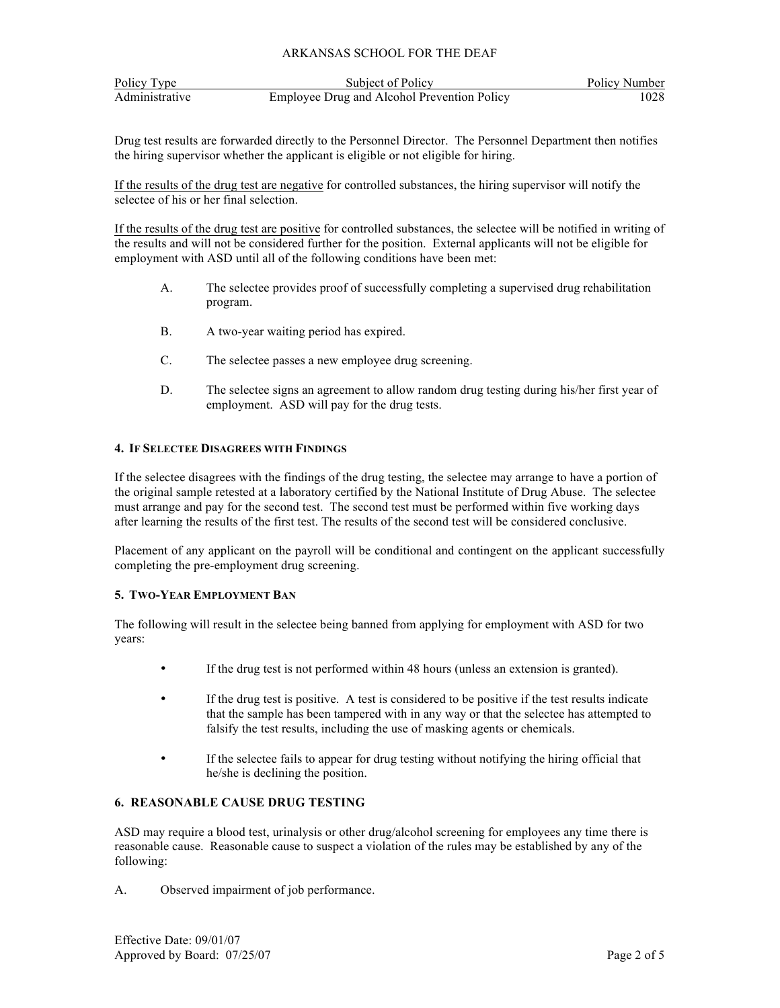| Policy Type    | Subject of Policy                           | Policy Number |
|----------------|---------------------------------------------|---------------|
| Administrative | Employee Drug and Alcohol Prevention Policy | 1028          |

Drug test results are forwarded directly to the Personnel Director. The Personnel Department then notifies the hiring supervisor whether the applicant is eligible or not eligible for hiring.

If the results of the drug test are negative for controlled substances, the hiring supervisor will notify the selectee of his or her final selection.

If the results of the drug test are positive for controlled substances, the selectee will be notified in writing of the results and will not be considered further for the position. External applicants will not be eligible for employment with ASD until all of the following conditions have been met:

- A. The selectee provides proof of successfully completing a supervised drug rehabilitation program.
- B. A two-year waiting period has expired.
- C. The selectee passes a new employee drug screening.
- D. The selectee signs an agreement to allow random drug testing during his/her first year of employment. ASD will pay for the drug tests.

## **4. IF SELECTEE DISAGREES WITH FINDINGS**

If the selectee disagrees with the findings of the drug testing, the selectee may arrange to have a portion of the original sample retested at a laboratory certified by the National Institute of Drug Abuse. The selectee must arrange and pay for the second test. The second test must be performed within five working days after learning the results of the first test. The results of the second test will be considered conclusive.

Placement of any applicant on the payroll will be conditional and contingent on the applicant successfully completing the pre-employment drug screening.

# **5. TWO-YEAR EMPLOYMENT BAN**

The following will result in the selectee being banned from applying for employment with ASD for two years:

- If the drug test is not performed within 48 hours (unless an extension is granted).
- If the drug test is positive. A test is considered to be positive if the test results indicate that the sample has been tampered with in any way or that the selectee has attempted to falsify the test results, including the use of masking agents or chemicals.
- If the selectee fails to appear for drug testing without notifying the hiring official that he/she is declining the position.

#### **6. REASONABLE CAUSE DRUG TESTING**

ASD may require a blood test, urinalysis or other drug/alcohol screening for employees any time there is reasonable cause. Reasonable cause to suspect a violation of the rules may be established by any of the following:

A. Observed impairment of job performance.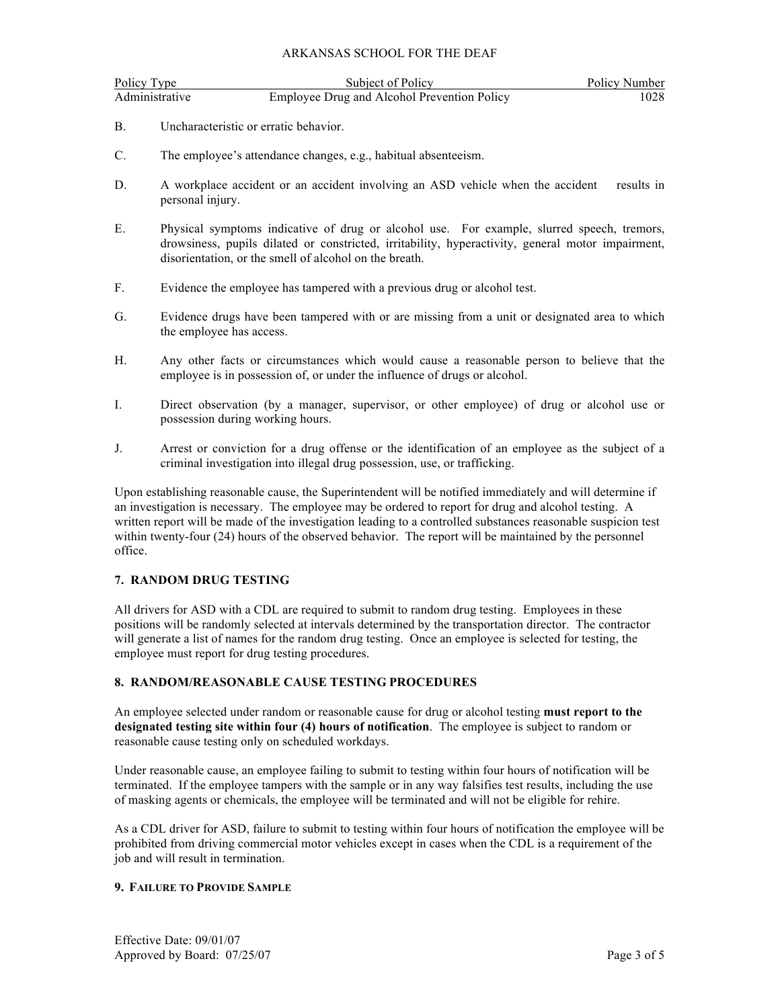| Policy Type    | Subject of Policy                           | Policy Number |
|----------------|---------------------------------------------|---------------|
| Administrative | Employee Drug and Alcohol Prevention Policy | 1028          |

- B. Uncharacteristic or erratic behavior.
- C. The employee's attendance changes, e.g., habitual absenteeism.
- D. A workplace accident or an accident involving an ASD vehicle when the accident results in personal injury.
- E. Physical symptoms indicative of drug or alcohol use. For example, slurred speech, tremors, drowsiness, pupils dilated or constricted, irritability, hyperactivity, general motor impairment, disorientation, or the smell of alcohol on the breath.
- F. Evidence the employee has tampered with a previous drug or alcohol test.
- G. Evidence drugs have been tampered with or are missing from a unit or designated area to which the employee has access.
- H. Any other facts or circumstances which would cause a reasonable person to believe that the employee is in possession of, or under the influence of drugs or alcohol.
- I. Direct observation (by a manager, supervisor, or other employee) of drug or alcohol use or possession during working hours.
- J. Arrest or conviction for a drug offense or the identification of an employee as the subject of a criminal investigation into illegal drug possession, use, or trafficking.

Upon establishing reasonable cause, the Superintendent will be notified immediately and will determine if an investigation is necessary. The employee may be ordered to report for drug and alcohol testing. A written report will be made of the investigation leading to a controlled substances reasonable suspicion test within twenty-four (24) hours of the observed behavior. The report will be maintained by the personnel office.

# **7. RANDOM DRUG TESTING**

All drivers for ASD with a CDL are required to submit to random drug testing. Employees in these positions will be randomly selected at intervals determined by the transportation director. The contractor will generate a list of names for the random drug testing. Once an employee is selected for testing, the employee must report for drug testing procedures.

#### **8. RANDOM/REASONABLE CAUSE TESTING PROCEDURES**

An employee selected under random or reasonable cause for drug or alcohol testing **must report to the designated testing site within four (4) hours of notification**. The employee is subject to random or reasonable cause testing only on scheduled workdays.

Under reasonable cause, an employee failing to submit to testing within four hours of notification will be terminated. If the employee tampers with the sample or in any way falsifies test results, including the use of masking agents or chemicals, the employee will be terminated and will not be eligible for rehire.

As a CDL driver for ASD, failure to submit to testing within four hours of notification the employee will be prohibited from driving commercial motor vehicles except in cases when the CDL is a requirement of the job and will result in termination.

#### **9. FAILURE TO PROVIDE SAMPLE**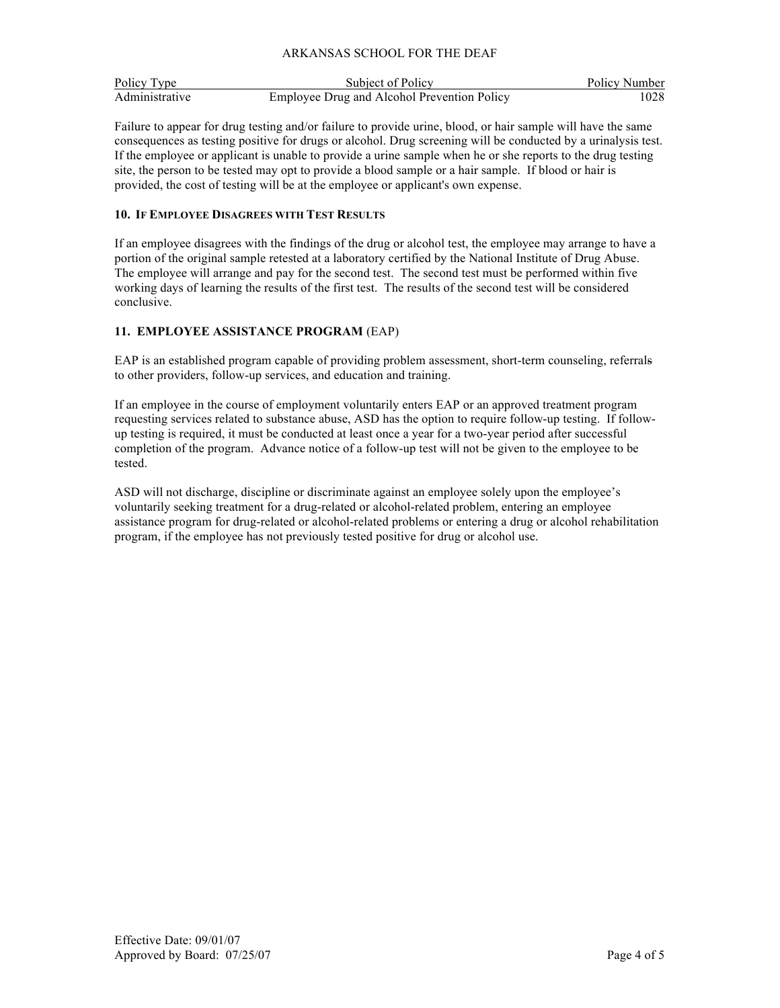| Policy Type    | Subject of Policy                           | Policy Number |
|----------------|---------------------------------------------|---------------|
| Administrative | Employee Drug and Alcohol Prevention Policy | 1028          |

Failure to appear for drug testing and/or failure to provide urine, blood, or hair sample will have the same consequences as testing positive for drugs or alcohol. Drug screening will be conducted by a urinalysis test. If the employee or applicant is unable to provide a urine sample when he or she reports to the drug testing site, the person to be tested may opt to provide a blood sample or a hair sample. If blood or hair is provided, the cost of testing will be at the employee or applicant's own expense.

## **10. IF EMPLOYEE DISAGREES WITH TEST RESULTS**

If an employee disagrees with the findings of the drug or alcohol test, the employee may arrange to have a portion of the original sample retested at a laboratory certified by the National Institute of Drug Abuse. The employee will arrange and pay for the second test. The second test must be performed within five working days of learning the results of the first test. The results of the second test will be considered conclusive.

# **11. EMPLOYEE ASSISTANCE PROGRAM** (EAP)

EAP is an established program capable of providing problem assessment, short-term counseling, referrals to other providers, follow-up services, and education and training.

If an employee in the course of employment voluntarily enters EAP or an approved treatment program requesting services related to substance abuse, ASD has the option to require follow-up testing. If followup testing is required, it must be conducted at least once a year for a two-year period after successful completion of the program. Advance notice of a follow-up test will not be given to the employee to be tested.

ASD will not discharge, discipline or discriminate against an employee solely upon the employee's voluntarily seeking treatment for a drug-related or alcohol-related problem, entering an employee assistance program for drug-related or alcohol-related problems or entering a drug or alcohol rehabilitation program, if the employee has not previously tested positive for drug or alcohol use.